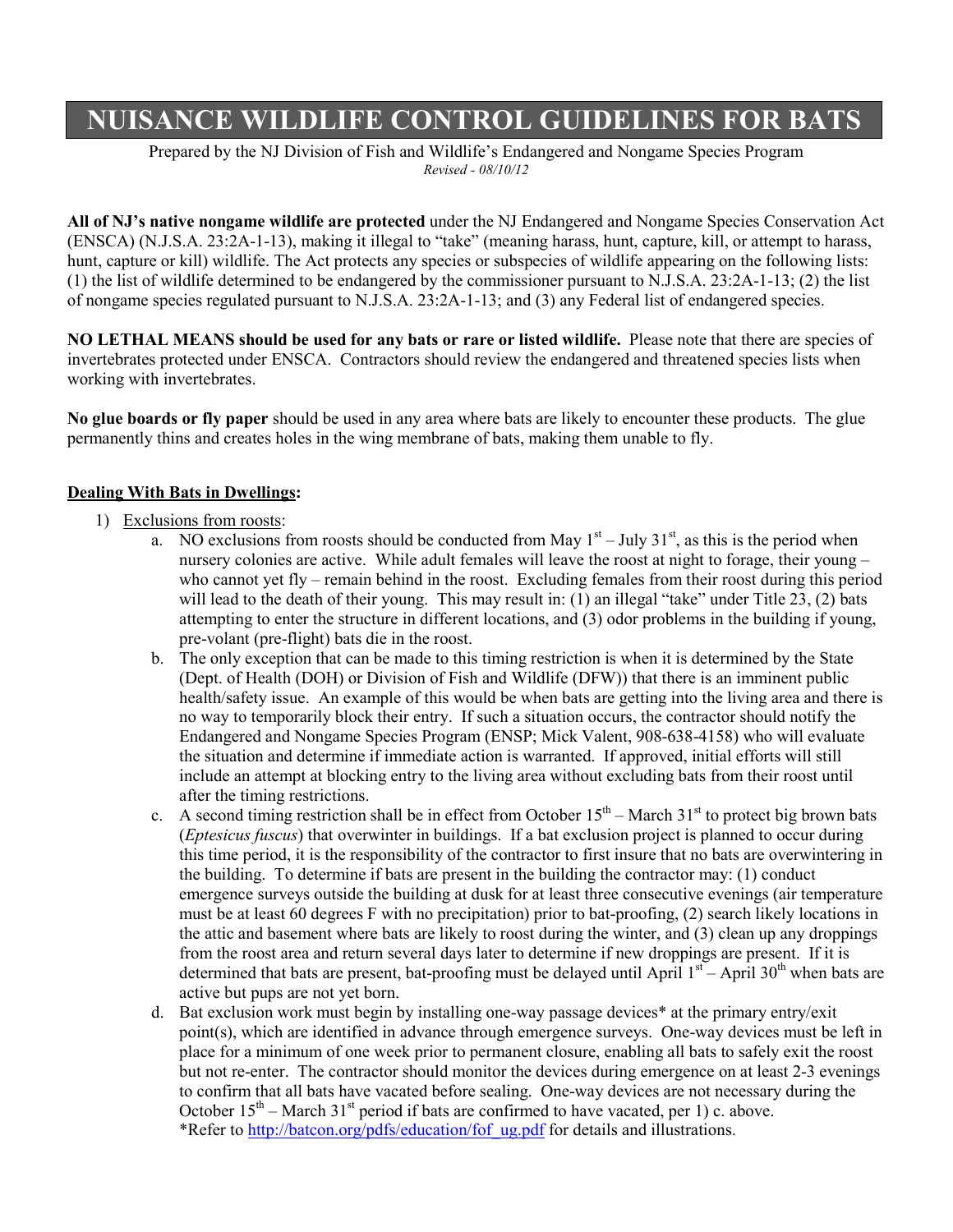## **NUISANCE WILDLIFE CONTROL GUIDELINES FOR BATS**

Prepared by the NJ Division of Fish and Wildlife's Endangered and Nongame Species Program *Revised - 08/10/12*

**All of NJ's native nongame wildlife are protected** under the NJ Endangered and Nongame Species Conservation Act (ENSCA) (N.J.S.A. 23:2A-1-13), making it illegal to "take" (meaning harass, hunt, capture, kill, or attempt to harass, hunt, capture or kill) wildlife. The Act protects any species or subspecies of wildlife appearing on the following lists: (1) the list of wildlife determined to be endangered by the commissioner pursuant to N.J.S.A. 23:2A-1-13; (2) the list of nongame species regulated pursuant to N.J.S.A. 23:2A-1-13; and (3) any Federal list of endangered species.

**NO LETHAL MEANS should be used for any bats or rare or listed wildlife.** Please note that there are species of invertebrates protected under ENSCA. Contractors should review the endangered and threatened species lists when working with invertebrates.

**No glue boards or fly paper** should be used in any area where bats are likely to encounter these products. The glue permanently thins and creates holes in the wing membrane of bats, making them unable to fly.

## **Dealing With Bats in Dwellings:**

## 1) Exclusions from roosts:

- a. NO exclusions from roosts should be conducted from May  $1<sup>st</sup> July 31<sup>st</sup>$ , as this is the period when nursery colonies are active. While adult females will leave the roost at night to forage, their young – who cannot yet fly – remain behind in the roost. Excluding females from their roost during this period will lead to the death of their young. This may result in: (1) an illegal "take" under Title 23, (2) bats attempting to enter the structure in different locations, and (3) odor problems in the building if young, pre-volant (pre-flight) bats die in the roost.
- b. The only exception that can be made to this timing restriction is when it is determined by the State (Dept. of Health (DOH) or Division of Fish and Wildlife (DFW)) that there is an imminent public health/safety issue. An example of this would be when bats are getting into the living area and there is no way to temporarily block their entry. If such a situation occurs, the contractor should notify the Endangered and Nongame Species Program (ENSP; Mick Valent, 908-638-4158) who will evaluate the situation and determine if immediate action is warranted. If approved, initial efforts will still include an attempt at blocking entry to the living area without excluding bats from their roost until after the timing restrictions.
- c. A second timing restriction shall be in effect from October  $15<sup>th</sup>$  March  $31<sup>st</sup>$  to protect big brown bats (*Eptesicus fuscus*) that overwinter in buildings. If a bat exclusion project is planned to occur during this time period, it is the responsibility of the contractor to first insure that no bats are overwintering in the building. To determine if bats are present in the building the contractor may: (1) conduct emergence surveys outside the building at dusk for at least three consecutive evenings (air temperature must be at least 60 degrees F with no precipitation) prior to bat-proofing, (2) search likely locations in the attic and basement where bats are likely to roost during the winter, and (3) clean up any droppings from the roost area and return several days later to determine if new droppings are present. If it is determined that bats are present, bat-proofing must be delayed until April  $1<sup>st</sup>$  – April 30<sup>th</sup> when bats are active but pups are not yet born.
- d. Bat exclusion work must begin by installing one-way passage devices\* at the primary entry/exit point(s), which are identified in advance through emergence surveys. One-way devices must be left in place for a minimum of one week prior to permanent closure, enabling all bats to safely exit the roost but not re-enter. The contractor should monitor the devices during emergence on at least 2-3 evenings to confirm that all bats have vacated before sealing. One-way devices are not necessary during the October  $15<sup>th</sup>$  – March  $31<sup>st</sup>$  period if bats are confirmed to have vacated, per 1) c. above. \*Refer to [http://batcon.org/pdfs/education/fof\\_ug.pdf](http://batcon.org/pdfs/education/fof_ug.pdf) for details and illustrations.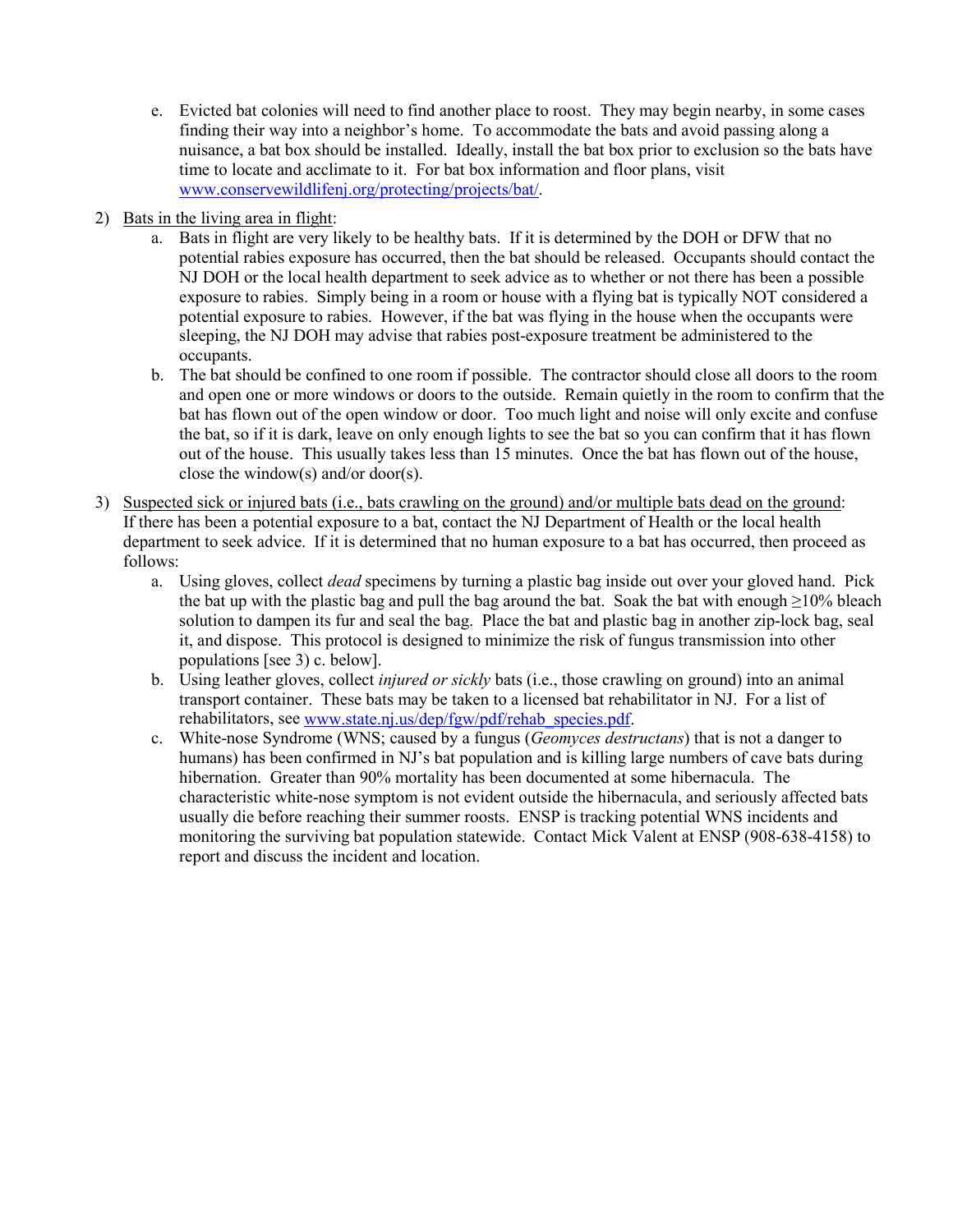- e. Evicted bat colonies will need to find another place to roost. They may begin nearby, in some cases finding their way into a neighbor's home. To accommodate the bats and avoid passing along a nuisance, a bat box should be installed. Ideally, install the bat box prior to exclusion so the bats have time to locate and acclimate to it. For bat box information and floor plans, visit [www.conservewildlifenj.org/protecting/projects/bat/.](http://www.conservewildlifenj.org/protecting/projects/bat/)
- 2) Bats in the living area in flight:
	- a. Bats in flight are very likely to be healthy bats. If it is determined by the DOH or DFW that no potential rabies exposure has occurred, then the bat should be released. Occupants should contact the NJ DOH or the local health department to seek advice as to whether or not there has been a possible exposure to rabies. Simply being in a room or house with a flying bat is typically NOT considered a potential exposure to rabies. However, if the bat was flying in the house when the occupants were sleeping, the NJ DOH may advise that rabies post-exposure treatment be administered to the occupants.
	- b. The bat should be confined to one room if possible. The contractor should close all doors to the room and open one or more windows or doors to the outside. Remain quietly in the room to confirm that the bat has flown out of the open window or door. Too much light and noise will only excite and confuse the bat, so if it is dark, leave on only enough lights to see the bat so you can confirm that it has flown out of the house. This usually takes less than 15 minutes. Once the bat has flown out of the house, close the window(s) and/or door(s).
- 3) Suspected sick or injured bats (i.e., bats crawling on the ground) and/or multiple bats dead on the ground: If there has been a potential exposure to a bat, contact the NJ Department of Health or the local health department to seek advice. If it is determined that no human exposure to a bat has occurred, then proceed as follows:
	- a. Using gloves, collect *dead* specimens by turning a plastic bag inside out over your gloved hand. Pick the bat up with the plastic bag and pull the bag around the bat. Soak the bat with enough  $\geq$ 10% bleach solution to dampen its fur and seal the bag. Place the bat and plastic bag in another zip-lock bag, seal it, and dispose. This protocol is designed to minimize the risk of fungus transmission into other populations [see 3) c. below].
	- b. Using leather gloves, collect *injured or sickly* bats (i.e., those crawling on ground) into an animal transport container. These bats may be taken to a licensed bat rehabilitator in NJ. For a list of rehabilitators, see [www.state.nj.us/dep/fgw/pdf/rehab\\_species.pdf.](http://www.state.nj.us/dep/fgw/pdf/rehab_species.pdf)
	- c. White-nose Syndrome (WNS; caused by a fungus (*Geomyces destructans*) that is not a danger to humans) has been confirmed in NJ's bat population and is killing large numbers of cave bats during hibernation. Greater than 90% mortality has been documented at some hibernacula. The characteristic white-nose symptom is not evident outside the hibernacula, and seriously affected bats usually die before reaching their summer roosts. ENSP is tracking potential WNS incidents and monitoring the surviving bat population statewide. Contact Mick Valent at ENSP (908-638-4158) to report and discuss the incident and location.